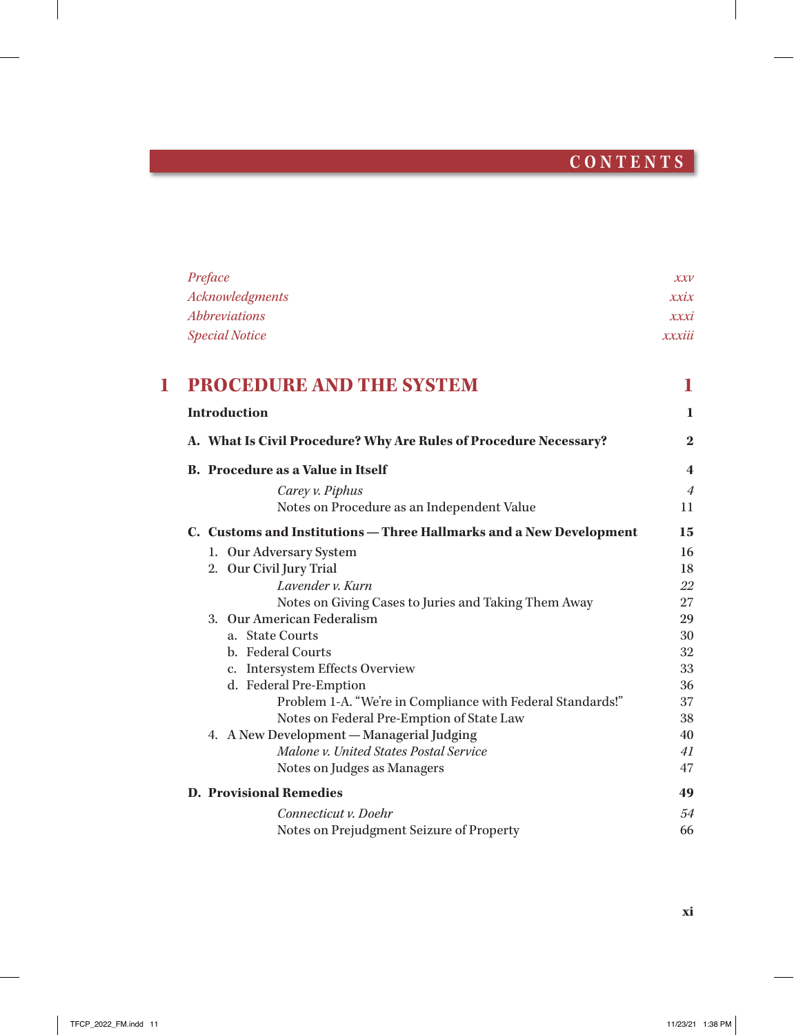## **C O N T E N T S**

 $\overline{\phantom{a}}$ 

|   | Preface                                                                                                                                                                                                                                                                                                                                                                                                                                                                                                                                                                                                                                                                                                                                                                                                                                        | $X\mathcal{X}V$         |  |
|---|------------------------------------------------------------------------------------------------------------------------------------------------------------------------------------------------------------------------------------------------------------------------------------------------------------------------------------------------------------------------------------------------------------------------------------------------------------------------------------------------------------------------------------------------------------------------------------------------------------------------------------------------------------------------------------------------------------------------------------------------------------------------------------------------------------------------------------------------|-------------------------|--|
|   | Acknowledgments                                                                                                                                                                                                                                                                                                                                                                                                                                                                                                                                                                                                                                                                                                                                                                                                                                | xxix                    |  |
|   | <i><b>Abbreviations</b></i><br><b>Special Notice</b><br><b>PROCEDURE AND THE SYSTEM</b><br><b>Introduction</b><br>A. What Is Civil Procedure? Why Are Rules of Procedure Necessary?<br><b>B.</b> Procedure as a Value in Itself<br>Carey v. Piphus<br>Notes on Procedure as an Independent Value<br>C. Customs and Institutions - Three Hallmarks and a New Development<br>1. Our Adversary System<br>2. Our Civil Jury Trial<br>Lavender v. Kurn<br>Notes on Giving Cases to Juries and Taking Them Away<br>3. Our American Federalism<br>a. State Courts<br>b. Federal Courts<br>c. Intersystem Effects Overview<br>d. Federal Pre-Emption<br>Problem 1-A. "We're in Compliance with Federal Standards!"<br>Notes on Federal Pre-Emption of State Law<br>4. A New Development - Managerial Judging<br>Malone v. United States Postal Service |                         |  |
|   |                                                                                                                                                                                                                                                                                                                                                                                                                                                                                                                                                                                                                                                                                                                                                                                                                                                | xxxiii                  |  |
| ш |                                                                                                                                                                                                                                                                                                                                                                                                                                                                                                                                                                                                                                                                                                                                                                                                                                                | 1                       |  |
|   |                                                                                                                                                                                                                                                                                                                                                                                                                                                                                                                                                                                                                                                                                                                                                                                                                                                | 1.                      |  |
|   |                                                                                                                                                                                                                                                                                                                                                                                                                                                                                                                                                                                                                                                                                                                                                                                                                                                | $\bf{2}$                |  |
|   |                                                                                                                                                                                                                                                                                                                                                                                                                                                                                                                                                                                                                                                                                                                                                                                                                                                | $\overline{\mathbf{4}}$ |  |
|   |                                                                                                                                                                                                                                                                                                                                                                                                                                                                                                                                                                                                                                                                                                                                                                                                                                                | $\overline{4}$          |  |
|   |                                                                                                                                                                                                                                                                                                                                                                                                                                                                                                                                                                                                                                                                                                                                                                                                                                                | 11                      |  |
|   |                                                                                                                                                                                                                                                                                                                                                                                                                                                                                                                                                                                                                                                                                                                                                                                                                                                | 15                      |  |
|   |                                                                                                                                                                                                                                                                                                                                                                                                                                                                                                                                                                                                                                                                                                                                                                                                                                                | 16                      |  |
|   |                                                                                                                                                                                                                                                                                                                                                                                                                                                                                                                                                                                                                                                                                                                                                                                                                                                | 18                      |  |
|   |                                                                                                                                                                                                                                                                                                                                                                                                                                                                                                                                                                                                                                                                                                                                                                                                                                                | 22                      |  |
|   |                                                                                                                                                                                                                                                                                                                                                                                                                                                                                                                                                                                                                                                                                                                                                                                                                                                | 27                      |  |
|   |                                                                                                                                                                                                                                                                                                                                                                                                                                                                                                                                                                                                                                                                                                                                                                                                                                                | 29                      |  |
|   |                                                                                                                                                                                                                                                                                                                                                                                                                                                                                                                                                                                                                                                                                                                                                                                                                                                | 30                      |  |
|   |                                                                                                                                                                                                                                                                                                                                                                                                                                                                                                                                                                                                                                                                                                                                                                                                                                                | 32                      |  |
|   |                                                                                                                                                                                                                                                                                                                                                                                                                                                                                                                                                                                                                                                                                                                                                                                                                                                | 33<br>36                |  |
|   |                                                                                                                                                                                                                                                                                                                                                                                                                                                                                                                                                                                                                                                                                                                                                                                                                                                | 37                      |  |
|   |                                                                                                                                                                                                                                                                                                                                                                                                                                                                                                                                                                                                                                                                                                                                                                                                                                                | 38                      |  |
|   |                                                                                                                                                                                                                                                                                                                                                                                                                                                                                                                                                                                                                                                                                                                                                                                                                                                | 40                      |  |
|   |                                                                                                                                                                                                                                                                                                                                                                                                                                                                                                                                                                                                                                                                                                                                                                                                                                                | 41                      |  |
|   | Notes on Judges as Managers                                                                                                                                                                                                                                                                                                                                                                                                                                                                                                                                                                                                                                                                                                                                                                                                                    | 47                      |  |
|   | <b>D. Provisional Remedies</b>                                                                                                                                                                                                                                                                                                                                                                                                                                                                                                                                                                                                                                                                                                                                                                                                                 | 49                      |  |
|   | Connecticut v. Doehr                                                                                                                                                                                                                                                                                                                                                                                                                                                                                                                                                                                                                                                                                                                                                                                                                           | 54                      |  |
|   | Notes on Prejudgment Seizure of Property                                                                                                                                                                                                                                                                                                                                                                                                                                                                                                                                                                                                                                                                                                                                                                                                       | 66                      |  |

 $\mathbf{I}$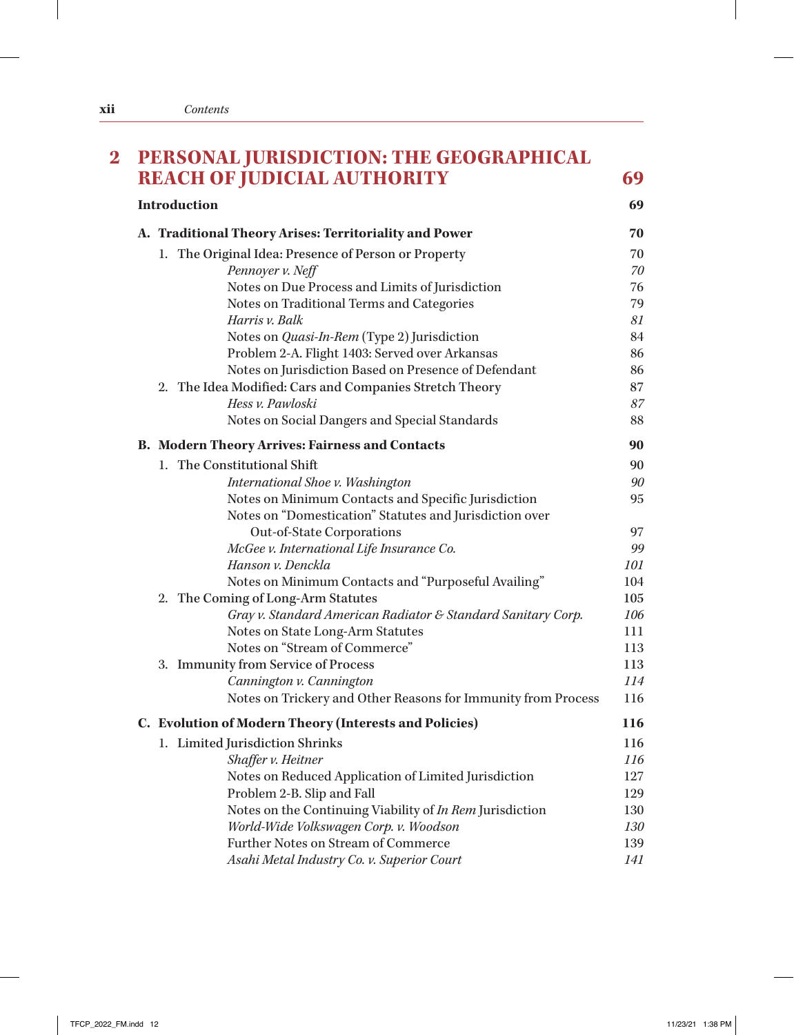| <b>REACH OF JUDICIAL AUTHORITY</b>                            | 69  |
|---------------------------------------------------------------|-----|
| <b>Introduction</b>                                           | 69  |
| A. Traditional Theory Arises: Territoriality and Power        | 70  |
| 1. The Original Idea: Presence of Person or Property          | 70  |
| Pennoyer v. Neff                                              | 70  |
| Notes on Due Process and Limits of Jurisdiction               | 76  |
| Notes on Traditional Terms and Categories                     | 79  |
| Harris v. Balk                                                | 81  |
| Notes on <i>Quasi-In-Rem</i> (Type 2) Jurisdiction            | 84  |
| Problem 2-A. Flight 1403: Served over Arkansas                | 86  |
| Notes on Jurisdiction Based on Presence of Defendant          | 86  |
| 2. The Idea Modified: Cars and Companies Stretch Theory       | 87  |
| Hess v. Pawloski                                              | 87  |
| Notes on Social Dangers and Special Standards                 | 88  |
| <b>B. Modern Theory Arrives: Fairness and Contacts</b>        | 90  |
| 1. The Constitutional Shift                                   | 90  |
| International Shoe v. Washington                              | 90  |
| Notes on Minimum Contacts and Specific Jurisdiction           | 95  |
| Notes on "Domestication" Statutes and Jurisdiction over       |     |
| Out-of-State Corporations                                     | 97  |
| McGee v. International Life Insurance Co.                     | 99  |
| Hanson v. Denckla                                             | 101 |
| Notes on Minimum Contacts and "Purposeful Availing"           | 104 |
| 2. The Coming of Long-Arm Statutes                            | 105 |
| Gray v. Standard American Radiator & Standard Sanitary Corp.  | 106 |
| Notes on State Long-Arm Statutes                              | 111 |
| Notes on "Stream of Commerce"                                 | 113 |
| 3. Immunity from Service of Process                           | 113 |
| Cannington v. Cannington                                      | 114 |
| Notes on Trickery and Other Reasons for Immunity from Process | 116 |
| <b>Evolution of Modern Theory (Interests and Policies)</b>    | 116 |
| 1. Limited Jurisdiction Shrinks                               | 116 |
| Shaffer v. Heitner                                            | 116 |
| Notes on Reduced Application of Limited Jurisdiction          | 127 |
| Problem 2-B. Slip and Fall                                    | 129 |
| Notes on the Continuing Viability of In Rem Jurisdiction      | 130 |
| World-Wide Volkswagen Corp. v. Woodson                        | 130 |
| <b>Further Notes on Stream of Commerce</b>                    | 139 |
| Asahi Metal Industry Co. v. Superior Court                    | 141 |

 $\frac{1}{2}$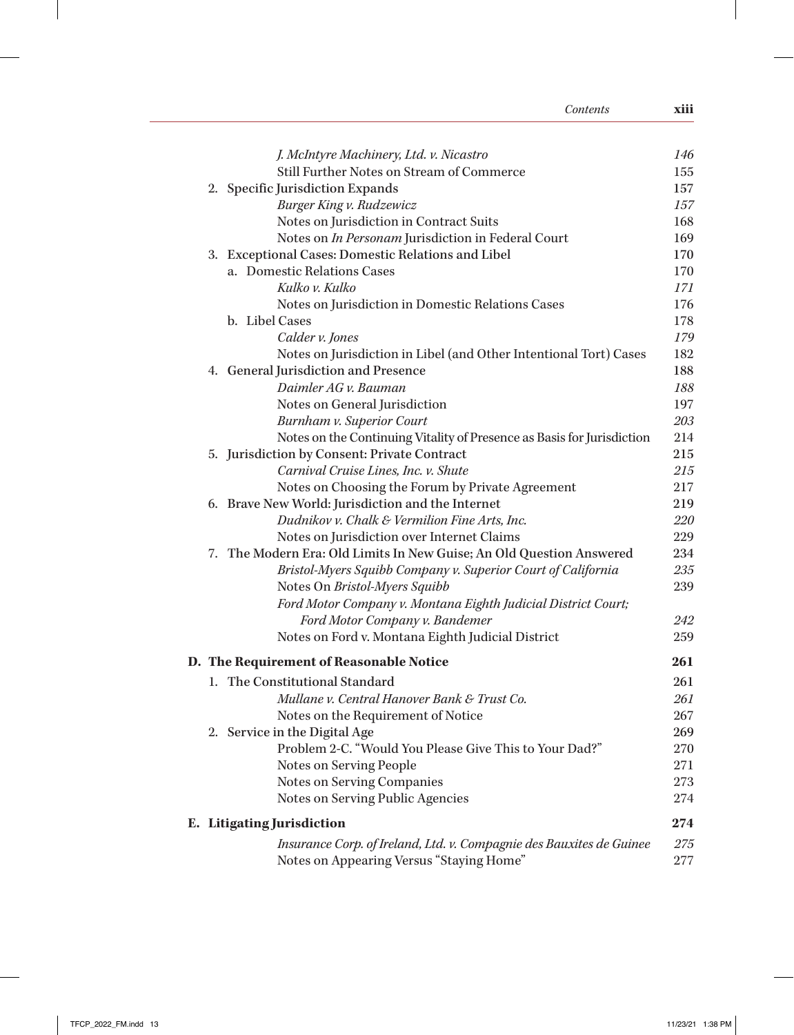| Contents                                                                          | xiii       |
|-----------------------------------------------------------------------------------|------------|
|                                                                                   |            |
| J. McIntyre Machinery, Ltd. v. Nicastro                                           | 146        |
| Still Further Notes on Stream of Commerce                                         | 155        |
| 2. Specific Jurisdiction Expands                                                  | 157        |
| Burger King v. Rudzewicz                                                          | 157        |
| Notes on Jurisdiction in Contract Suits                                           | 168        |
| Notes on In Personam Jurisdiction in Federal Court                                | 169        |
| 3. Exceptional Cases: Domestic Relations and Libel<br>a. Domestic Relations Cases | 170        |
| Kulko v. Kulko                                                                    | 170<br>171 |
|                                                                                   | 176        |
| Notes on Jurisdiction in Domestic Relations Cases<br>b. Libel Cases               | 178        |
| Calder v. Jones                                                                   | 179        |
| Notes on Jurisdiction in Libel (and Other Intentional Tort) Cases                 | 182        |
| 4. General Jurisdiction and Presence                                              | 188        |
| Daimler AG v. Bauman                                                              | 188        |
| Notes on General Jurisdiction                                                     | 197        |
| <b>Burnham v. Superior Court</b>                                                  | 203        |
| Notes on the Continuing Vitality of Presence as Basis for Jurisdiction            | 214        |
| 5. Jurisdiction by Consent: Private Contract                                      | 215        |
| Carnival Cruise Lines, Inc. v. Shute                                              | 215        |
| Notes on Choosing the Forum by Private Agreement                                  | 217        |
| 6. Brave New World: Jurisdiction and the Internet                                 | 219        |
| Dudnikov v. Chalk & Vermilion Fine Arts, Inc.                                     | 220        |
| Notes on Jurisdiction over Internet Claims                                        | 229        |
| 7. The Modern Era: Old Limits In New Guise; An Old Question Answered              | 234        |
| Bristol-Myers Squibb Company v. Superior Court of California                      | 235        |
| Notes On Bristol-Myers Squibb                                                     | 239        |
| Ford Motor Company v. Montana Eighth Judicial District Court;                     |            |
| Ford Motor Company v. Bandemer                                                    | 242        |
| Notes on Ford v. Montana Eighth Judicial District                                 | 259        |
| D. The Requirement of Reasonable Notice                                           | 261        |
| 1. The Constitutional Standard                                                    | 261        |
| Mullane v. Central Hanover Bank & Trust Co.                                       | 261        |
| Notes on the Requirement of Notice                                                | 267        |
| 2. Service in the Digital Age                                                     | 269        |
| Problem 2-C. "Would You Please Give This to Your Dad?"                            | 270        |
| Notes on Serving People                                                           | 271        |
| <b>Notes on Serving Companies</b>                                                 | 273        |
| Notes on Serving Public Agencies                                                  | 274        |
| E. Litigating Jurisdiction                                                        | 274        |
| Insurance Corp. of Ireland, Ltd. v. Compagnie des Bauxites de Guinee              | 275        |
| Notes on Appearing Versus "Staying Home"                                          | 277        |

 $\begin{array}{c} \hline \end{array}$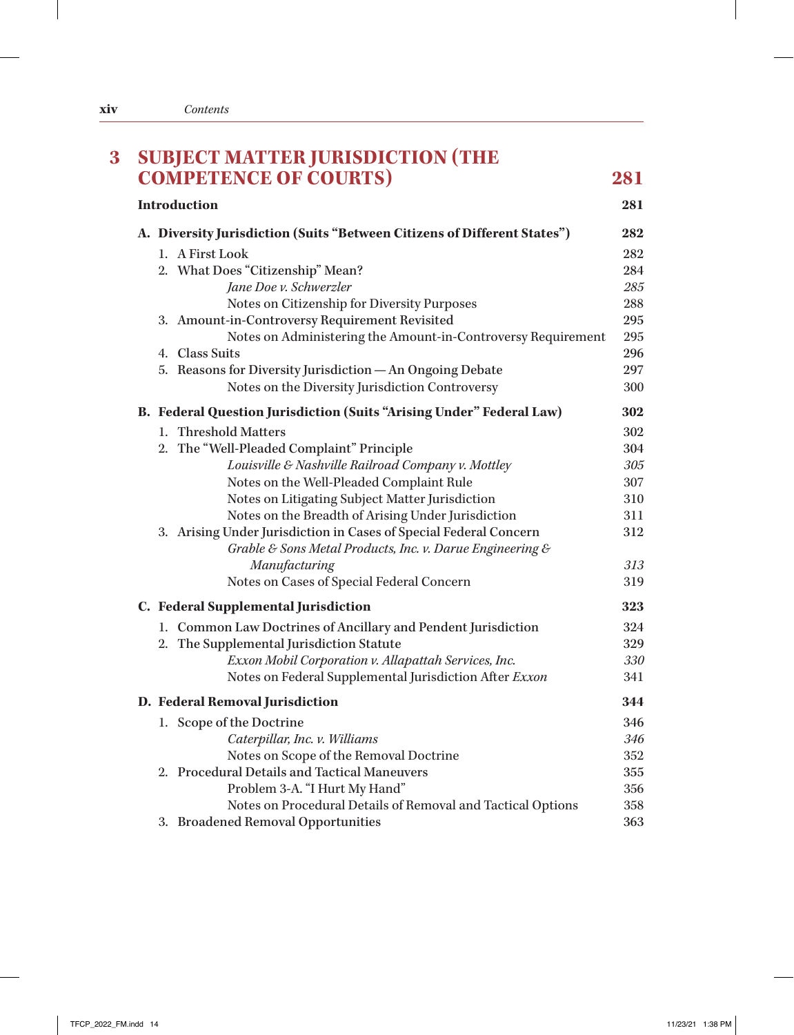| <b>COMPETENCE OF COURTS)</b>                                                                                                   | 281 |
|--------------------------------------------------------------------------------------------------------------------------------|-----|
| <b>Introduction</b>                                                                                                            | 281 |
| A. Diversity Jurisdiction (Suits "Between Citizens of Different States")                                                       | 282 |
| 1. A First Look                                                                                                                | 282 |
| 2. What Does "Citizenship" Mean?                                                                                               | 284 |
| Jane Doe v. Schwerzler                                                                                                         | 285 |
| Notes on Citizenship for Diversity Purposes                                                                                    | 288 |
| 3. Amount-in-Controversy Requirement Revisited                                                                                 | 295 |
| Notes on Administering the Amount-in-Controversy Requirement                                                                   | 295 |
| 4. Class Suits                                                                                                                 | 296 |
| 5. Reasons for Diversity Jurisdiction - An Ongoing Debate                                                                      | 297 |
| Notes on the Diversity Jurisdiction Controversy                                                                                | 300 |
| B. Federal Question Jurisdiction (Suits "Arising Under" Federal Law)                                                           | 302 |
| 1. Threshold Matters                                                                                                           | 302 |
| 2. The "Well-Pleaded Complaint" Principle                                                                                      | 304 |
| Louisville & Nashville Railroad Company v. Mottley                                                                             | 305 |
| Notes on the Well-Pleaded Complaint Rule                                                                                       | 307 |
| Notes on Litigating Subject Matter Jurisdiction                                                                                | 310 |
| Notes on the Breadth of Arising Under Jurisdiction                                                                             | 311 |
| 3. Arising Under Jurisdiction in Cases of Special Federal Concern<br>Grable & Sons Metal Products, Inc. v. Darue Engineering & | 312 |
| Manufacturing                                                                                                                  | 313 |
| Notes on Cases of Special Federal Concern                                                                                      | 319 |
| C. Federal Supplemental Jurisdiction                                                                                           | 323 |
| 1. Common Law Doctrines of Ancillary and Pendent Jurisdiction                                                                  | 324 |
| 2. The Supplemental Jurisdiction Statute                                                                                       | 329 |
| Exxon Mobil Corporation v. Allapattah Services, Inc.                                                                           | 330 |
| Notes on Federal Supplemental Jurisdiction After Exxon                                                                         | 341 |
| D. Federal Removal Jurisdiction                                                                                                | 344 |
| 1. Scope of the Doctrine                                                                                                       | 346 |
| Caterpillar, Inc. v. Williams                                                                                                  | 346 |
| Notes on Scope of the Removal Doctrine                                                                                         | 352 |
| 2. Procedural Details and Tactical Maneuvers                                                                                   | 355 |
| Problem 3-A. "I Hurt My Hand"                                                                                                  | 356 |
| Notes on Procedural Details of Removal and Tactical Options                                                                    | 358 |
| 3. Broadened Removal Opportunities                                                                                             | 363 |

 $\mathbf{I}$ 

 $\frac{1}{2}$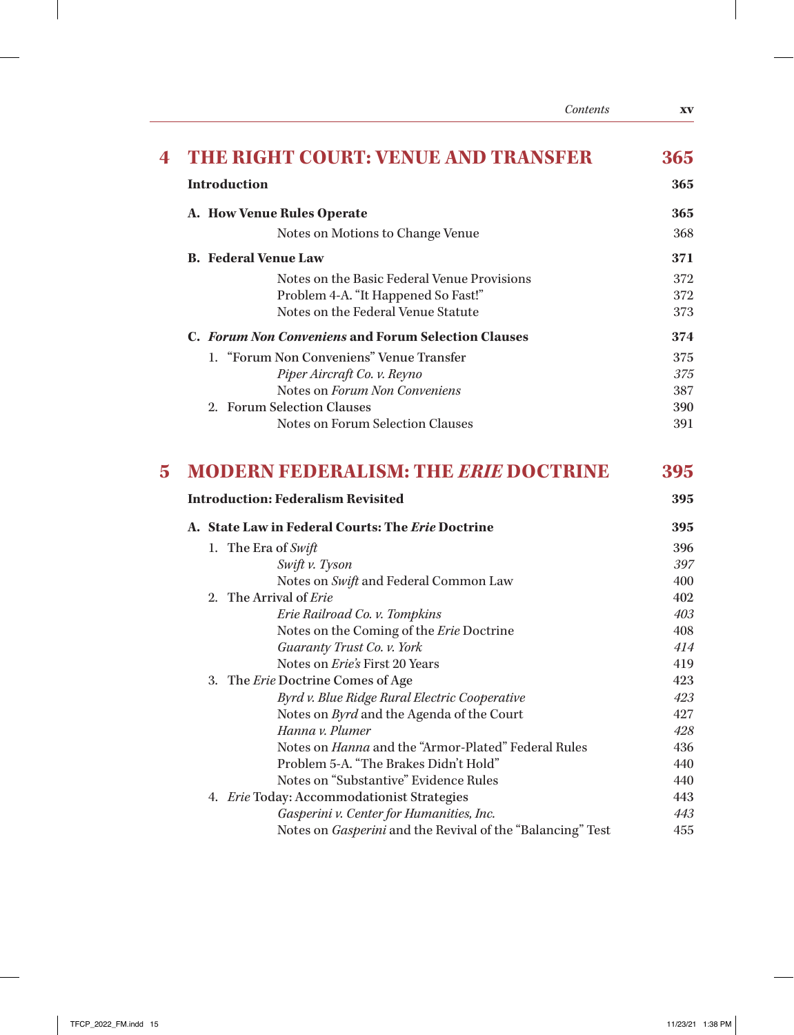|                | Contents                                                                           | XV         |
|----------------|------------------------------------------------------------------------------------|------------|
| 4              | <b>THE RIGHT COURT: VENUE AND TRANSFER</b>                                         | 365        |
|                | <b>Introduction</b>                                                                | 365        |
|                | A. How Venue Rules Operate                                                         | 365        |
|                | Notes on Motions to Change Venue                                                   | 368        |
|                | <b>B.</b> Federal Venue Law                                                        | 371        |
|                | Notes on the Basic Federal Venue Provisions                                        | 372        |
|                | Problem 4-A. "It Happened So Fast!"                                                | 372        |
|                | Notes on the Federal Venue Statute                                                 | 373        |
|                | C. Forum Non Conveniens and Forum Selection Clauses                                | 374        |
|                | 1. "Forum Non Conveniens" Venue Transfer                                           | 375        |
|                | Piper Aircraft Co. v. Reyno                                                        | 375        |
|                | Notes on Forum Non Conveniens                                                      | 387        |
|                | 2. Forum Selection Clauses                                                         | 390        |
|                | Notes on Forum Selection Clauses                                                   | 391        |
| $\overline{5}$ | <b>MODERN FEDERALISM: THE ERIE DOCTRINE</b>                                        | 395        |
|                |                                                                                    |            |
|                | <b>Introduction: Federalism Revisited</b>                                          | 395        |
|                | A. State Law in Federal Courts: The Erie Doctrine                                  | 395        |
|                | 1. The Era of Swift                                                                | 396        |
|                | Swift v. Tyson                                                                     | 397        |
|                | Notes on Swift and Federal Common Law                                              | 400        |
|                | 2. The Arrival of Erie                                                             | 402        |
|                | Erie Railroad Co. v. Tompkins                                                      | 403        |
|                | Notes on the Coming of the Erie Doctrine                                           | 408        |
|                | Guaranty Trust Co. v. York<br>Notes on <i>Erie's</i> First 20 Years                | 414        |
|                |                                                                                    | 419<br>423 |
|                | 3. The Erie Doctrine Comes of Age<br>Byrd v. Blue Ridge Rural Electric Cooperative | 423        |
|                | Notes on <i>Byrd</i> and the Agenda of the Court                                   | 427        |
|                | Hanna v. Plumer                                                                    | 428        |
|                | Notes on <i>Hanna</i> and the "Armor-Plated" Federal Rules                         | 436        |
|                | Problem 5-A. "The Brakes Didn't Hold"                                              | 440        |
|                | Notes on "Substantive" Evidence Rules                                              | 440        |
|                | 4. Erie Today: Accommodationist Strategies                                         | 443        |
|                | Gasperini v. Center for Humanities, Inc.                                           | 443        |
|                |                                                                                    |            |

 $\perp$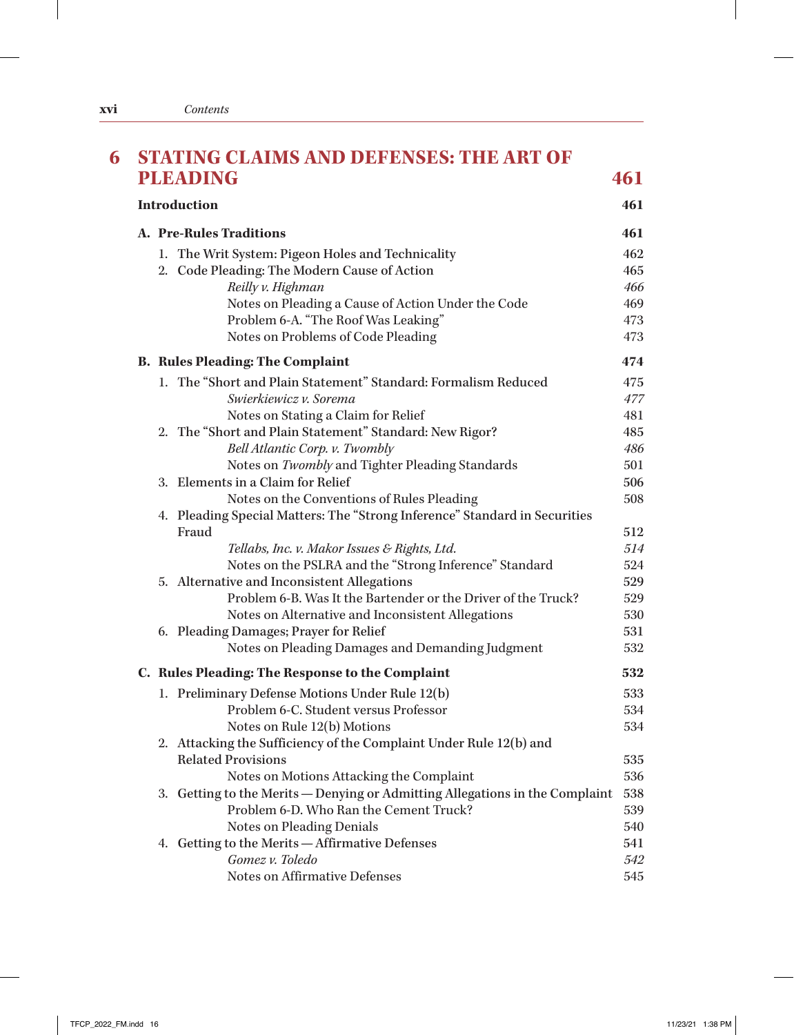| <b>PLEADING</b><br>461<br><b>Introduction</b><br>461<br><b>A. Pre-Rules Traditions</b><br>461<br>1. The Writ System: Pigeon Holes and Technicality<br>462<br>2. Code Pleading: The Modern Cause of Action<br>465<br>Reilly v. Highman<br>466<br>Notes on Pleading a Cause of Action Under the Code<br>469<br>Problem 6-A. "The Roof Was Leaking"<br>473<br>Notes on Problems of Code Pleading<br>473<br><b>B. Rules Pleading: The Complaint</b><br>474<br>1. The "Short and Plain Statement" Standard: Formalism Reduced<br>475<br>Swierkiewicz v. Sorema<br>477<br>Notes on Stating a Claim for Relief<br>481<br>2. The "Short and Plain Statement" Standard: New Rigor?<br>485<br>Bell Atlantic Corp. v. Twombly<br>486<br>Notes on Twombly and Tighter Pleading Standards<br>501<br>3. Elements in a Claim for Relief<br>506<br>Notes on the Conventions of Rules Pleading<br>508<br>4. Pleading Special Matters: The "Strong Inference" Standard in Securities<br>Fraud<br>512<br>514<br>Tellabs, Inc. v. Makor Issues & Rights, Ltd.<br>Notes on the PSLRA and the "Strong Inference" Standard<br>524<br>5. Alternative and Inconsistent Allegations<br>529<br>Problem 6-B. Was It the Bartender or the Driver of the Truck?<br>529<br>Notes on Alternative and Inconsistent Allegations<br>530<br>6. Pleading Damages; Prayer for Relief<br>531<br>Notes on Pleading Damages and Demanding Judgment<br>532<br>532<br>C. Rules Pleading: The Response to the Complaint<br>1. Preliminary Defense Motions Under Rule 12(b)<br>533<br>Problem 6-C. Student versus Professor<br>534<br>Notes on Rule 12(b) Motions<br>534<br>2. Attacking the Sufficiency of the Complaint Under Rule 12(b) and<br><b>Related Provisions</b><br>535<br>536<br>Notes on Motions Attacking the Complaint<br>3. Getting to the Merits - Denying or Admitting Allegations in the Complaint<br>538<br>Problem 6-D. Who Ran the Cement Truck?<br>539<br>Notes on Pleading Denials<br>540<br>4. Getting to the Merits - Affirmative Defenses<br>541<br>Gomez v. Toledo<br>542 | 6 | <b>STATING CLAIMS AND DEFENSES: THE ART OF</b> |     |  |  |  |
|----------------------------------------------------------------------------------------------------------------------------------------------------------------------------------------------------------------------------------------------------------------------------------------------------------------------------------------------------------------------------------------------------------------------------------------------------------------------------------------------------------------------------------------------------------------------------------------------------------------------------------------------------------------------------------------------------------------------------------------------------------------------------------------------------------------------------------------------------------------------------------------------------------------------------------------------------------------------------------------------------------------------------------------------------------------------------------------------------------------------------------------------------------------------------------------------------------------------------------------------------------------------------------------------------------------------------------------------------------------------------------------------------------------------------------------------------------------------------------------------------------------------------------------------------------------------------------------------------------------------------------------------------------------------------------------------------------------------------------------------------------------------------------------------------------------------------------------------------------------------------------------------------------------------------------------------------------------------------------------------------------------------------------------------------------|---|------------------------------------------------|-----|--|--|--|
|                                                                                                                                                                                                                                                                                                                                                                                                                                                                                                                                                                                                                                                                                                                                                                                                                                                                                                                                                                                                                                                                                                                                                                                                                                                                                                                                                                                                                                                                                                                                                                                                                                                                                                                                                                                                                                                                                                                                                                                                                                                          |   |                                                |     |  |  |  |
|                                                                                                                                                                                                                                                                                                                                                                                                                                                                                                                                                                                                                                                                                                                                                                                                                                                                                                                                                                                                                                                                                                                                                                                                                                                                                                                                                                                                                                                                                                                                                                                                                                                                                                                                                                                                                                                                                                                                                                                                                                                          |   |                                                |     |  |  |  |
|                                                                                                                                                                                                                                                                                                                                                                                                                                                                                                                                                                                                                                                                                                                                                                                                                                                                                                                                                                                                                                                                                                                                                                                                                                                                                                                                                                                                                                                                                                                                                                                                                                                                                                                                                                                                                                                                                                                                                                                                                                                          |   |                                                |     |  |  |  |
|                                                                                                                                                                                                                                                                                                                                                                                                                                                                                                                                                                                                                                                                                                                                                                                                                                                                                                                                                                                                                                                                                                                                                                                                                                                                                                                                                                                                                                                                                                                                                                                                                                                                                                                                                                                                                                                                                                                                                                                                                                                          |   |                                                |     |  |  |  |
|                                                                                                                                                                                                                                                                                                                                                                                                                                                                                                                                                                                                                                                                                                                                                                                                                                                                                                                                                                                                                                                                                                                                                                                                                                                                                                                                                                                                                                                                                                                                                                                                                                                                                                                                                                                                                                                                                                                                                                                                                                                          |   |                                                |     |  |  |  |
|                                                                                                                                                                                                                                                                                                                                                                                                                                                                                                                                                                                                                                                                                                                                                                                                                                                                                                                                                                                                                                                                                                                                                                                                                                                                                                                                                                                                                                                                                                                                                                                                                                                                                                                                                                                                                                                                                                                                                                                                                                                          |   |                                                |     |  |  |  |
|                                                                                                                                                                                                                                                                                                                                                                                                                                                                                                                                                                                                                                                                                                                                                                                                                                                                                                                                                                                                                                                                                                                                                                                                                                                                                                                                                                                                                                                                                                                                                                                                                                                                                                                                                                                                                                                                                                                                                                                                                                                          |   |                                                |     |  |  |  |
|                                                                                                                                                                                                                                                                                                                                                                                                                                                                                                                                                                                                                                                                                                                                                                                                                                                                                                                                                                                                                                                                                                                                                                                                                                                                                                                                                                                                                                                                                                                                                                                                                                                                                                                                                                                                                                                                                                                                                                                                                                                          |   |                                                |     |  |  |  |
|                                                                                                                                                                                                                                                                                                                                                                                                                                                                                                                                                                                                                                                                                                                                                                                                                                                                                                                                                                                                                                                                                                                                                                                                                                                                                                                                                                                                                                                                                                                                                                                                                                                                                                                                                                                                                                                                                                                                                                                                                                                          |   |                                                |     |  |  |  |
|                                                                                                                                                                                                                                                                                                                                                                                                                                                                                                                                                                                                                                                                                                                                                                                                                                                                                                                                                                                                                                                                                                                                                                                                                                                                                                                                                                                                                                                                                                                                                                                                                                                                                                                                                                                                                                                                                                                                                                                                                                                          |   |                                                |     |  |  |  |
|                                                                                                                                                                                                                                                                                                                                                                                                                                                                                                                                                                                                                                                                                                                                                                                                                                                                                                                                                                                                                                                                                                                                                                                                                                                                                                                                                                                                                                                                                                                                                                                                                                                                                                                                                                                                                                                                                                                                                                                                                                                          |   |                                                |     |  |  |  |
|                                                                                                                                                                                                                                                                                                                                                                                                                                                                                                                                                                                                                                                                                                                                                                                                                                                                                                                                                                                                                                                                                                                                                                                                                                                                                                                                                                                                                                                                                                                                                                                                                                                                                                                                                                                                                                                                                                                                                                                                                                                          |   |                                                |     |  |  |  |
|                                                                                                                                                                                                                                                                                                                                                                                                                                                                                                                                                                                                                                                                                                                                                                                                                                                                                                                                                                                                                                                                                                                                                                                                                                                                                                                                                                                                                                                                                                                                                                                                                                                                                                                                                                                                                                                                                                                                                                                                                                                          |   |                                                |     |  |  |  |
|                                                                                                                                                                                                                                                                                                                                                                                                                                                                                                                                                                                                                                                                                                                                                                                                                                                                                                                                                                                                                                                                                                                                                                                                                                                                                                                                                                                                                                                                                                                                                                                                                                                                                                                                                                                                                                                                                                                                                                                                                                                          |   |                                                |     |  |  |  |
|                                                                                                                                                                                                                                                                                                                                                                                                                                                                                                                                                                                                                                                                                                                                                                                                                                                                                                                                                                                                                                                                                                                                                                                                                                                                                                                                                                                                                                                                                                                                                                                                                                                                                                                                                                                                                                                                                                                                                                                                                                                          |   |                                                |     |  |  |  |
|                                                                                                                                                                                                                                                                                                                                                                                                                                                                                                                                                                                                                                                                                                                                                                                                                                                                                                                                                                                                                                                                                                                                                                                                                                                                                                                                                                                                                                                                                                                                                                                                                                                                                                                                                                                                                                                                                                                                                                                                                                                          |   |                                                |     |  |  |  |
|                                                                                                                                                                                                                                                                                                                                                                                                                                                                                                                                                                                                                                                                                                                                                                                                                                                                                                                                                                                                                                                                                                                                                                                                                                                                                                                                                                                                                                                                                                                                                                                                                                                                                                                                                                                                                                                                                                                                                                                                                                                          |   |                                                |     |  |  |  |
|                                                                                                                                                                                                                                                                                                                                                                                                                                                                                                                                                                                                                                                                                                                                                                                                                                                                                                                                                                                                                                                                                                                                                                                                                                                                                                                                                                                                                                                                                                                                                                                                                                                                                                                                                                                                                                                                                                                                                                                                                                                          |   |                                                |     |  |  |  |
|                                                                                                                                                                                                                                                                                                                                                                                                                                                                                                                                                                                                                                                                                                                                                                                                                                                                                                                                                                                                                                                                                                                                                                                                                                                                                                                                                                                                                                                                                                                                                                                                                                                                                                                                                                                                                                                                                                                                                                                                                                                          |   |                                                |     |  |  |  |
|                                                                                                                                                                                                                                                                                                                                                                                                                                                                                                                                                                                                                                                                                                                                                                                                                                                                                                                                                                                                                                                                                                                                                                                                                                                                                                                                                                                                                                                                                                                                                                                                                                                                                                                                                                                                                                                                                                                                                                                                                                                          |   |                                                |     |  |  |  |
|                                                                                                                                                                                                                                                                                                                                                                                                                                                                                                                                                                                                                                                                                                                                                                                                                                                                                                                                                                                                                                                                                                                                                                                                                                                                                                                                                                                                                                                                                                                                                                                                                                                                                                                                                                                                                                                                                                                                                                                                                                                          |   |                                                |     |  |  |  |
|                                                                                                                                                                                                                                                                                                                                                                                                                                                                                                                                                                                                                                                                                                                                                                                                                                                                                                                                                                                                                                                                                                                                                                                                                                                                                                                                                                                                                                                                                                                                                                                                                                                                                                                                                                                                                                                                                                                                                                                                                                                          |   |                                                |     |  |  |  |
|                                                                                                                                                                                                                                                                                                                                                                                                                                                                                                                                                                                                                                                                                                                                                                                                                                                                                                                                                                                                                                                                                                                                                                                                                                                                                                                                                                                                                                                                                                                                                                                                                                                                                                                                                                                                                                                                                                                                                                                                                                                          |   |                                                |     |  |  |  |
|                                                                                                                                                                                                                                                                                                                                                                                                                                                                                                                                                                                                                                                                                                                                                                                                                                                                                                                                                                                                                                                                                                                                                                                                                                                                                                                                                                                                                                                                                                                                                                                                                                                                                                                                                                                                                                                                                                                                                                                                                                                          |   |                                                |     |  |  |  |
|                                                                                                                                                                                                                                                                                                                                                                                                                                                                                                                                                                                                                                                                                                                                                                                                                                                                                                                                                                                                                                                                                                                                                                                                                                                                                                                                                                                                                                                                                                                                                                                                                                                                                                                                                                                                                                                                                                                                                                                                                                                          |   |                                                |     |  |  |  |
|                                                                                                                                                                                                                                                                                                                                                                                                                                                                                                                                                                                                                                                                                                                                                                                                                                                                                                                                                                                                                                                                                                                                                                                                                                                                                                                                                                                                                                                                                                                                                                                                                                                                                                                                                                                                                                                                                                                                                                                                                                                          |   |                                                |     |  |  |  |
|                                                                                                                                                                                                                                                                                                                                                                                                                                                                                                                                                                                                                                                                                                                                                                                                                                                                                                                                                                                                                                                                                                                                                                                                                                                                                                                                                                                                                                                                                                                                                                                                                                                                                                                                                                                                                                                                                                                                                                                                                                                          |   |                                                |     |  |  |  |
|                                                                                                                                                                                                                                                                                                                                                                                                                                                                                                                                                                                                                                                                                                                                                                                                                                                                                                                                                                                                                                                                                                                                                                                                                                                                                                                                                                                                                                                                                                                                                                                                                                                                                                                                                                                                                                                                                                                                                                                                                                                          |   |                                                |     |  |  |  |
|                                                                                                                                                                                                                                                                                                                                                                                                                                                                                                                                                                                                                                                                                                                                                                                                                                                                                                                                                                                                                                                                                                                                                                                                                                                                                                                                                                                                                                                                                                                                                                                                                                                                                                                                                                                                                                                                                                                                                                                                                                                          |   |                                                |     |  |  |  |
|                                                                                                                                                                                                                                                                                                                                                                                                                                                                                                                                                                                                                                                                                                                                                                                                                                                                                                                                                                                                                                                                                                                                                                                                                                                                                                                                                                                                                                                                                                                                                                                                                                                                                                                                                                                                                                                                                                                                                                                                                                                          |   |                                                |     |  |  |  |
|                                                                                                                                                                                                                                                                                                                                                                                                                                                                                                                                                                                                                                                                                                                                                                                                                                                                                                                                                                                                                                                                                                                                                                                                                                                                                                                                                                                                                                                                                                                                                                                                                                                                                                                                                                                                                                                                                                                                                                                                                                                          |   |                                                |     |  |  |  |
|                                                                                                                                                                                                                                                                                                                                                                                                                                                                                                                                                                                                                                                                                                                                                                                                                                                                                                                                                                                                                                                                                                                                                                                                                                                                                                                                                                                                                                                                                                                                                                                                                                                                                                                                                                                                                                                                                                                                                                                                                                                          |   |                                                |     |  |  |  |
|                                                                                                                                                                                                                                                                                                                                                                                                                                                                                                                                                                                                                                                                                                                                                                                                                                                                                                                                                                                                                                                                                                                                                                                                                                                                                                                                                                                                                                                                                                                                                                                                                                                                                                                                                                                                                                                                                                                                                                                                                                                          |   |                                                |     |  |  |  |
|                                                                                                                                                                                                                                                                                                                                                                                                                                                                                                                                                                                                                                                                                                                                                                                                                                                                                                                                                                                                                                                                                                                                                                                                                                                                                                                                                                                                                                                                                                                                                                                                                                                                                                                                                                                                                                                                                                                                                                                                                                                          |   |                                                |     |  |  |  |
|                                                                                                                                                                                                                                                                                                                                                                                                                                                                                                                                                                                                                                                                                                                                                                                                                                                                                                                                                                                                                                                                                                                                                                                                                                                                                                                                                                                                                                                                                                                                                                                                                                                                                                                                                                                                                                                                                                                                                                                                                                                          |   |                                                |     |  |  |  |
|                                                                                                                                                                                                                                                                                                                                                                                                                                                                                                                                                                                                                                                                                                                                                                                                                                                                                                                                                                                                                                                                                                                                                                                                                                                                                                                                                                                                                                                                                                                                                                                                                                                                                                                                                                                                                                                                                                                                                                                                                                                          |   |                                                |     |  |  |  |
|                                                                                                                                                                                                                                                                                                                                                                                                                                                                                                                                                                                                                                                                                                                                                                                                                                                                                                                                                                                                                                                                                                                                                                                                                                                                                                                                                                                                                                                                                                                                                                                                                                                                                                                                                                                                                                                                                                                                                                                                                                                          |   |                                                |     |  |  |  |
|                                                                                                                                                                                                                                                                                                                                                                                                                                                                                                                                                                                                                                                                                                                                                                                                                                                                                                                                                                                                                                                                                                                                                                                                                                                                                                                                                                                                                                                                                                                                                                                                                                                                                                                                                                                                                                                                                                                                                                                                                                                          |   | Notes on Affirmative Defenses                  | 545 |  |  |  |

 $\mathbb{I}$ 

 $\mathbb{I}$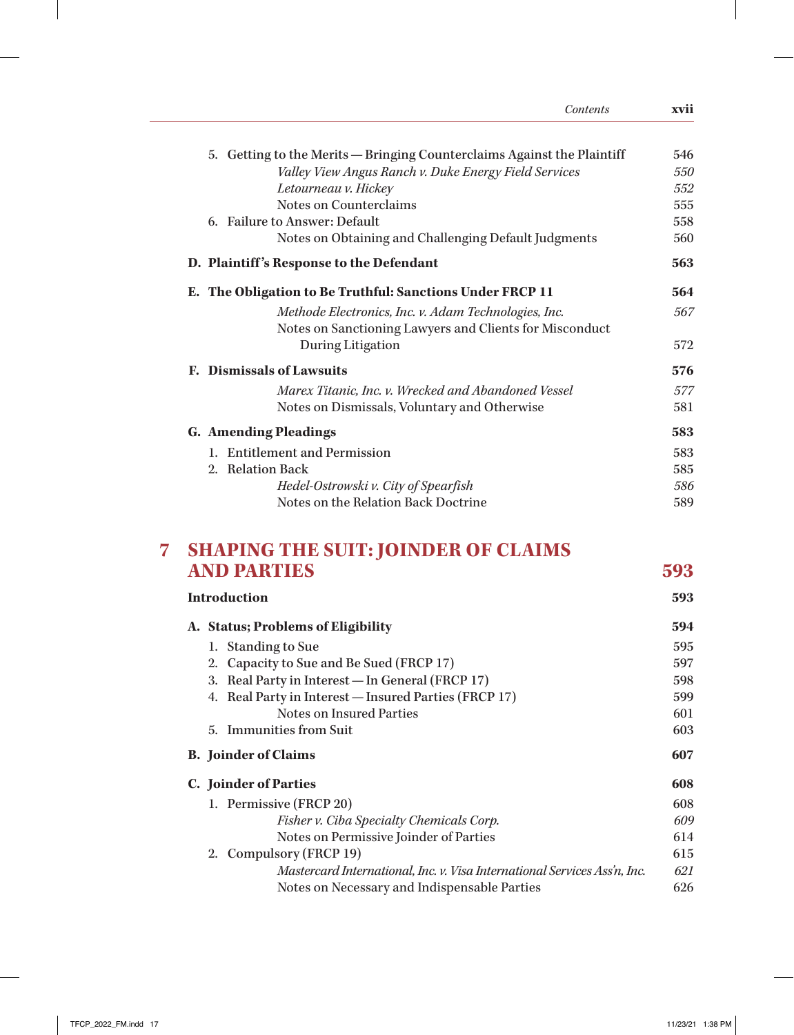| Contents                                                                                                        | xvii |
|-----------------------------------------------------------------------------------------------------------------|------|
| 5. Getting to the Merits — Bringing Counterclaims Against the Plaintiff                                         | 546  |
| Valley View Angus Ranch v. Duke Energy Field Services                                                           | 550  |
| Letourneau v. Hickey                                                                                            | 552  |
| Notes on Counterclaims                                                                                          | 555  |
| 6. Failure to Answer: Default                                                                                   | 558  |
| Notes on Obtaining and Challenging Default Judgments                                                            | 560  |
| D. Plaintiff's Response to the Defendant                                                                        | 563  |
| E. The Obligation to Be Truthful: Sanctions Under FRCP 11                                                       | 564  |
| Methode Electronics, Inc. v. Adam Technologies, Inc.<br>Notes on Sanctioning Lawyers and Clients for Misconduct | 567  |
| During Litigation                                                                                               | 572  |
| <b>E.</b> Dismissals of Lawsuits                                                                                | 576  |
| Marex Titanic, Inc. v. Wrecked and Abandoned Vessel                                                             | 577  |
| Notes on Dismissals, Voluntary and Otherwise                                                                    | 581  |
| <b>G.</b> Amending Pleadings                                                                                    | 583  |
| 1. Entitlement and Permission                                                                                   | 583  |
| 2. Relation Back                                                                                                | 585  |
| Hedel-Ostrowski v. City of Spearfish                                                                            | 586  |
| Notes on the Relation Back Doctrine                                                                             | 589  |
|                                                                                                                 |      |

## **7 SHAPING THE SUIT: JOINDER OF CLAIMS AND PARTIES 593**

 $\overline{\phantom{a}}$ 

| <b>Introduction</b>                                                       |     |  |
|---------------------------------------------------------------------------|-----|--|
| A. Status; Problems of Eligibility                                        |     |  |
| 1. Standing to Sue                                                        | 595 |  |
| 2. Capacity to Sue and Be Sued (FRCP 17)                                  | 597 |  |
| Real Party in Interest — In General (FRCP 17)<br>3.                       | 598 |  |
| Real Party in Interest — Insured Parties (FRCP 17)<br>4.                  | 599 |  |
| Notes on Insured Parties                                                  | 601 |  |
| 5. Immunities from Suit                                                   | 603 |  |
| <b>B.</b> Joinder of Claims                                               |     |  |
| C. Joinder of Parties                                                     |     |  |
| 1. Permissive (FRCP 20)                                                   | 608 |  |
| Fisher v. Ciba Specialty Chemicals Corp.                                  | 609 |  |
| Notes on Permissive Joinder of Parties                                    | 614 |  |
| 2. Compulsory (FRCP 19)                                                   |     |  |
| Mastercard International, Inc. v. Visa International Services Ass'n, Inc. | 621 |  |
| Notes on Necessary and Indispensable Parties<br>626                       |     |  |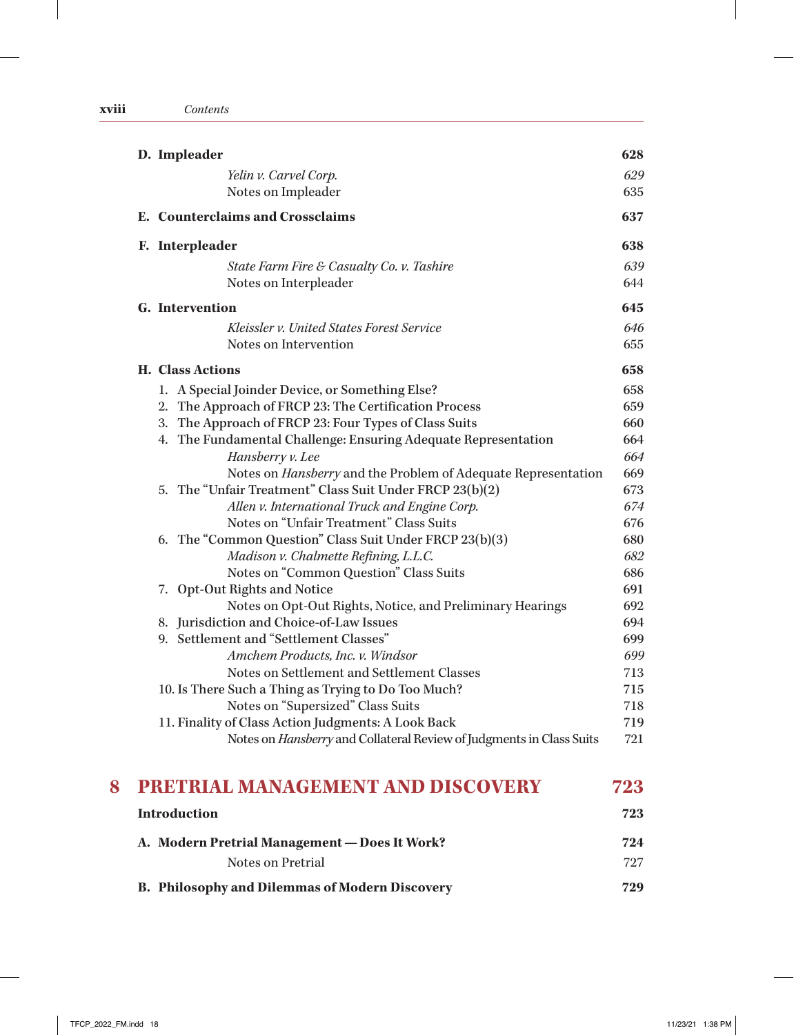| D. Impleader                                                                             | 628        |
|------------------------------------------------------------------------------------------|------------|
| Yelin v. Carvel Corp.                                                                    | 629        |
| Notes on Impleader                                                                       | 635        |
| E. Counterclaims and Crossclaims                                                         | 637        |
| F. Interpleader                                                                          | 638        |
| State Farm Fire & Casualty Co. v. Tashire                                                | 639        |
| Notes on Interpleader                                                                    | 644        |
| G. Intervention                                                                          | 645        |
| Kleissler v. United States Forest Service                                                | 646        |
| Notes on Intervention                                                                    | 655        |
| <b>H.</b> Class Actions                                                                  | 658        |
| 1. A Special Joinder Device, or Something Else?                                          | 658        |
| 2. The Approach of FRCP 23: The Certification Process                                    | 659        |
| 3. The Approach of FRCP 23: Four Types of Class Suits                                    | 660        |
| 4. The Fundamental Challenge: Ensuring Adequate Representation                           | 664        |
| Hansberry v. Lee                                                                         | 664        |
| Notes on <i>Hansberry</i> and the Problem of Adequate Representation                     | 669        |
| 5. The "Unfair Treatment" Class Suit Under FRCP 23(b)(2)                                 | 673        |
| Allen v. International Truck and Engine Corp.                                            | 674        |
| Notes on "Unfair Treatment" Class Suits                                                  | 676        |
| 6. The "Common Question" Class Suit Under FRCP 23(b)(3)                                  | 680        |
| Madison v. Chalmette Refining, L.L.C.                                                    | 682        |
| Notes on "Common Question" Class Suits                                                   | 686        |
| 7. Opt-Out Rights and Notice                                                             | 691        |
| Notes on Opt-Out Rights, Notice, and Preliminary Hearings                                | 692        |
| 8. Jurisdiction and Choice-of-Law Issues                                                 | 694        |
| 9. Settlement and "Settlement Classes"                                                   | 699        |
| Amchem Products, Inc. v. Windsor                                                         | 699        |
| Notes on Settlement and Settlement Classes                                               | 713        |
| 10. Is There Such a Thing as Trying to Do Too Much?<br>Notes on "Supersized" Class Suits | 715<br>718 |
| 11. Finality of Class Action Judgments: A Look Back                                      | 719        |
| Notes on Hansberry and Collateral Review of Judgments in Class Suits                     | 721        |
| PRETRIAL MANAGEMENT AND DISCOVERY                                                        | 723        |
| <b>Introduction</b>                                                                      | 723        |
| A. Modern Pretrial Management - Does It Work?                                            | 724        |
| Notes on Pretrial                                                                        | 727        |

| <b>B. Philosophy and Dilemmas of Modern Discovery</b> | 729 |
|-------------------------------------------------------|-----|
|                                                       |     |

 $\begin{array}{c} \hline \end{array}$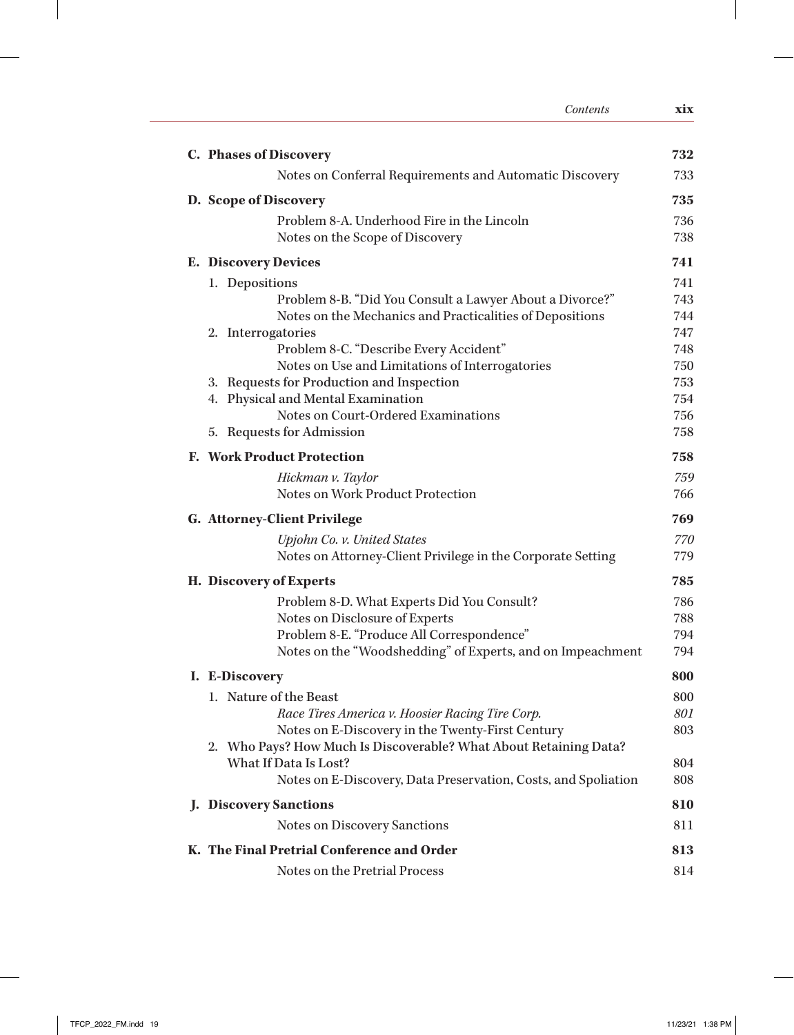| Contents                                                          | xix        |
|-------------------------------------------------------------------|------------|
| C. Phases of Discovery                                            | 732        |
| Notes on Conferral Requirements and Automatic Discovery           | 733        |
| D. Scope of Discovery                                             | 735        |
| Problem 8-A. Underhood Fire in the Lincoln                        | 736        |
| Notes on the Scope of Discovery                                   | 738        |
| <b>E.</b> Discovery Devices                                       | 741        |
| 1. Depositions                                                    | 741        |
| Problem 8-B. "Did You Consult a Lawyer About a Divorce?"          | 743        |
| Notes on the Mechanics and Practicalities of Depositions          | 744        |
| 2. Interrogatories                                                | 747        |
| Problem 8-C. "Describe Every Accident"                            | 748        |
| Notes on Use and Limitations of Interrogatories                   | 750        |
| 3. Requests for Production and Inspection                         | 753        |
| 4. Physical and Mental Examination                                | 754        |
| Notes on Court-Ordered Examinations<br>5. Requests for Admission  | 756<br>758 |
| <b>F. Work Product Protection</b>                                 | 758        |
| Hickman v. Taylor                                                 | 759        |
| Notes on Work Product Protection                                  | 766        |
| <b>G. Attorney-Client Privilege</b>                               | 769        |
| Upjohn Co. v. United States                                       | 770        |
| Notes on Attorney-Client Privilege in the Corporate Setting       | 779        |
| H. Discovery of Experts                                           | 785        |
| Problem 8-D. What Experts Did You Consult?                        | 786        |
| Notes on Disclosure of Experts                                    | 788        |
| Problem 8-E. "Produce All Correspondence"                         | 794        |
| Notes on the "Woodshedding" of Experts, and on Impeachment        | 794        |
| I. E-Discovery                                                    | 800        |
| 1. Nature of the Beast                                            | 800        |
| Race Tires America v. Hoosier Racing Tire Corp.                   | 801        |
| Notes on E-Discovery in the Twenty-First Century                  | 803        |
| 2. Who Pays? How Much Is Discoverable? What About Retaining Data? |            |
| What If Data Is Lost?                                             | 804        |
| Notes on E-Discovery, Data Preservation, Costs, and Spoliation    | 808        |
| <b>J.</b> Discovery Sanctions                                     | 810        |
| Notes on Discovery Sanctions                                      | 811        |
| K. The Final Pretrial Conference and Order                        | 813        |
| Notes on the Pretrial Process                                     | 814        |

 $\perp$ 

 $\mathbb{I}$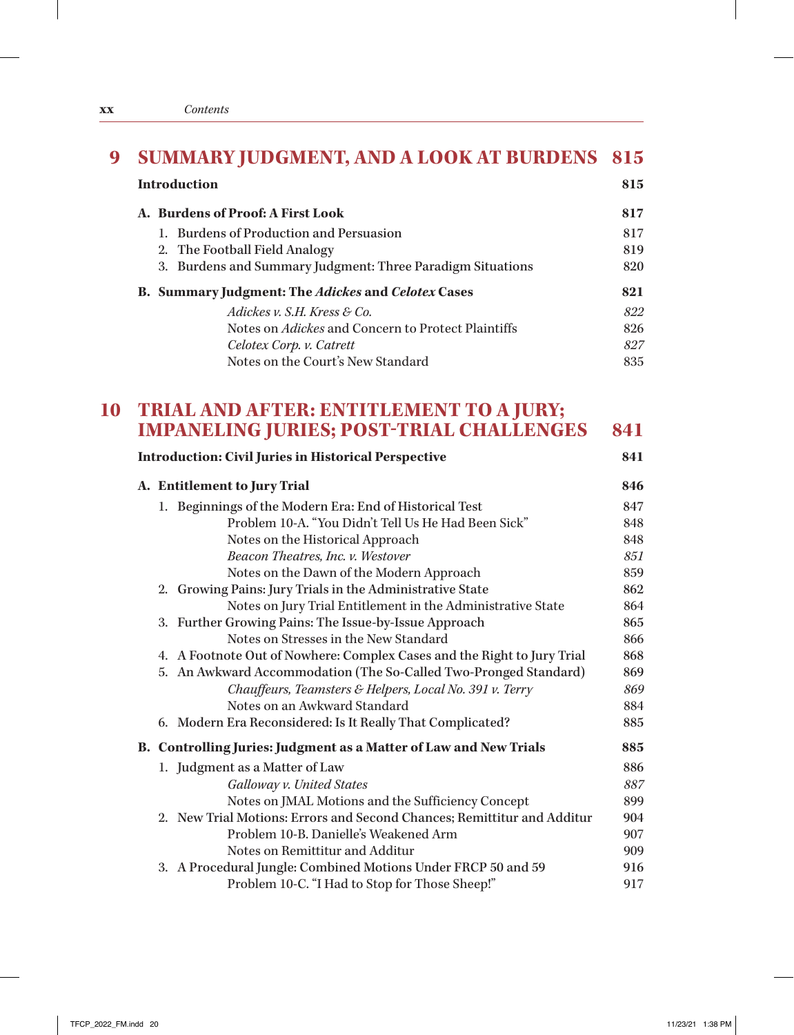|  | <b>SUMMARY JUDGMENT, AND A LOOK AT BURDENS 815</b>         |     |
|--|------------------------------------------------------------|-----|
|  | <b>Introduction</b>                                        | 815 |
|  | A. Burdens of Proof: A First Look                          | 817 |
|  | 1. Burdens of Production and Persuasion                    | 817 |
|  | 2. The Football Field Analogy                              | 819 |
|  | 3. Burdens and Summary Judgment: Three Paradigm Situations | 820 |
|  | <b>B. Summary Judgment: The Adickes and Celotex Cases</b>  | 821 |
|  | Adickes v. S.H. Kress & Co.                                | 822 |
|  | Notes on <i>Adickes</i> and Concern to Protect Plaintiffs  | 826 |
|  | Celotex Corp. v. Catrett                                   | 827 |
|  | Notes on the Court's New Standard                          | 835 |

## **10 TRIAL AND AFTER: ENTITLEMENT TO A JURY; IMPANELING JURIES; POST-TRIAL CHALLENGES 841**

| <b>Introduction: Civil Juries in Historical Perspective</b>             | 841 |
|-------------------------------------------------------------------------|-----|
| A. Entitlement to Jury Trial                                            | 846 |
| 1. Beginnings of the Modern Era: End of Historical Test                 | 847 |
| Problem 10-A. "You Didn't Tell Us He Had Been Sick"                     | 848 |
| Notes on the Historical Approach                                        | 848 |
| Beacon Theatres, Inc. v. Westover                                       | 851 |
| Notes on the Dawn of the Modern Approach                                | 859 |
| 2. Growing Pains: Jury Trials in the Administrative State               | 862 |
| Notes on Jury Trial Entitlement in the Administrative State             | 864 |
| 3. Further Growing Pains: The Issue-by-Issue Approach                   | 865 |
| Notes on Stresses in the New Standard                                   | 866 |
| 4. A Footnote Out of Nowhere: Complex Cases and the Right to Jury Trial | 868 |
| 5. An Awkward Accommodation (The So-Called Two-Pronged Standard)        | 869 |
| Chauffeurs, Teamsters & Helpers, Local No. 391 v. Terry                 | 869 |
| Notes on an Awkward Standard                                            | 884 |
| 6. Modern Era Reconsidered: Is It Really That Complicated?              | 885 |
| B. Controlling Juries: Judgment as a Matter of Law and New Trials       | 885 |
| 1. Judgment as a Matter of Law                                          | 886 |
| Galloway v. United States                                               | 887 |
| Notes on JMAL Motions and the Sufficiency Concept                       | 899 |
| 2. New Trial Motions: Errors and Second Chances; Remittitur and Additur | 904 |
| Problem 10-B. Danielle's Weakened Arm                                   | 907 |
| Notes on Remittitur and Additur                                         | 909 |
| 3. A Procedural Jungle: Combined Motions Under FRCP 50 and 59           | 916 |
| Problem 10-C. "I Had to Stop for Those Sheep!"                          | 917 |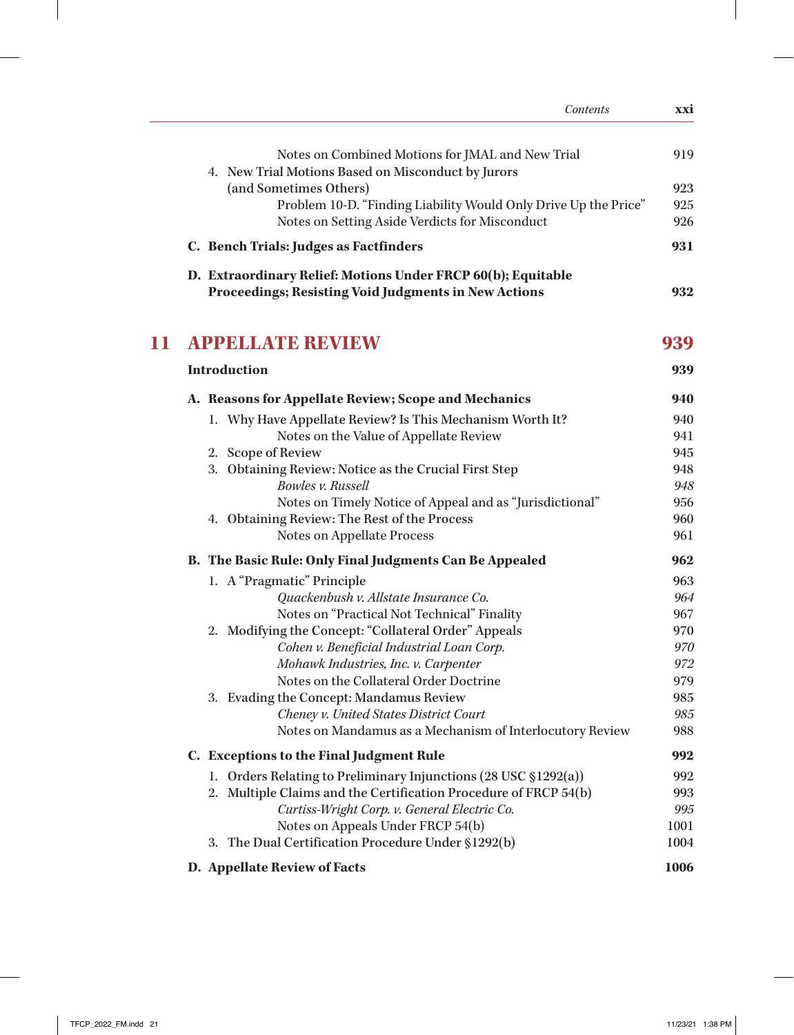|    | Contents                                                                                                                    | xxi        |
|----|-----------------------------------------------------------------------------------------------------------------------------|------------|
|    | Notes on Combined Motions for JMAL and New Trial<br>4. New Trial Motions Based on Misconduct by Jurors                      | 919        |
|    | (and Sometimes Others)                                                                                                      | 923        |
|    | Problem 10-D. "Finding Liability Would Only Drive Up the Price"                                                             | 925        |
|    | Notes on Setting Aside Verdicts for Misconduct                                                                              | 926        |
|    | C. Bench Trials: Judges as Factfinders                                                                                      | 931        |
|    | D. Extraordinary Relief: Motions Under FRCP 60(b); Equitable<br><b>Proceedings; Resisting Void Judgments in New Actions</b> | 932        |
|    |                                                                                                                             |            |
| 11 | <b>APPELLATE REVIEW</b>                                                                                                     | 939        |
|    | <b>Introduction</b>                                                                                                         | 939        |
|    | A. Reasons for Appellate Review; Scope and Mechanics                                                                        | 940        |
|    | 1. Why Have Appellate Review? Is This Mechanism Worth It?                                                                   | 940        |
|    | Notes on the Value of Appellate Review                                                                                      | 941        |
|    | 2. Scope of Review                                                                                                          | 945        |
|    | 3. Obtaining Review: Notice as the Crucial First Step                                                                       | 948        |
|    | Bowles v. Russell                                                                                                           | 948        |
|    | Notes on Timely Notice of Appeal and as "Jurisdictional"                                                                    | 956        |
|    | 4. Obtaining Review: The Rest of the Process                                                                                | 960        |
|    | Notes on Appellate Process                                                                                                  | 961        |
|    | B. The Basic Rule: Only Final Judgments Can Be Appealed                                                                     | 962        |
|    | 1. A "Pragmatic" Principle                                                                                                  | 963        |
|    | Quackenbush v. Allstate Insurance Co.                                                                                       | 964        |
|    | Notes on "Practical Not Technical" Finality                                                                                 | 967        |
|    | 2. Modifying the Concept: "Collateral Order" Appeals                                                                        | 970        |
|    | Cohen v. Beneficial Industrial Loan Corp.                                                                                   | 970        |
|    | Mohawk Industries, Inc. v. Carpenter<br>Notes on the Collateral Order Doctrine                                              | 972        |
|    | 3. Evading the Concept: Mandamus Review                                                                                     | 979<br>985 |
|    | Cheney v. United States District Court                                                                                      | 985        |
|    | Notes on Mandamus as a Mechanism of Interlocutory Review                                                                    | 988        |
|    | C. Exceptions to the Final Judgment Rule                                                                                    | 992        |
|    | 1. Orders Relating to Preliminary Injunctions (28 USC §1292(a))                                                             | 992        |
|    | 2. Multiple Claims and the Certification Procedure of FRCP 54(b)                                                            | 993        |
|    | Curtiss-Wright Corp. v. General Electric Co.                                                                                | 995        |
|    | Notes on Appeals Under FRCP 54(b)                                                                                           | 1001       |
|    | 3. The Dual Certification Procedure Under §1292(b)                                                                          | 1004       |
|    | D. Appellate Review of Facts                                                                                                | 1006       |

 $\mathbf{I}$ 

 $\frac{1}{2}$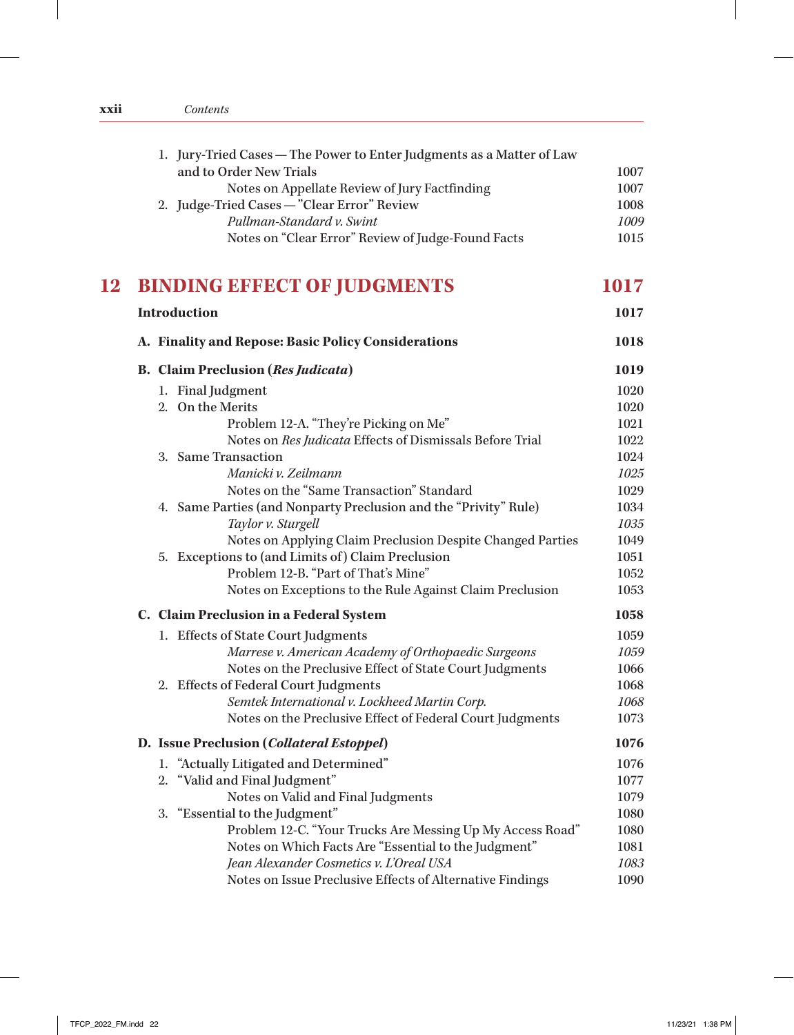| <b>XX11</b> | Contents |
|-------------|----------|
|             |          |

|    | 1. Jury-Tried Cases - The Power to Enter Judgments as a Matter of Law                                        |              |
|----|--------------------------------------------------------------------------------------------------------------|--------------|
|    | and to Order New Trials                                                                                      | 1007         |
|    | Notes on Appellate Review of Jury Factfinding                                                                | 1007         |
|    | 2. Judge-Tried Cases - "Clear Error" Review                                                                  | 1008         |
|    | Pullman-Standard v. Swint                                                                                    | 1009         |
|    | Notes on "Clear Error" Review of Judge-Found Facts                                                           | 1015         |
| 12 | <b>BINDING EFFECT OF JUDGMENTS</b>                                                                           | 1017         |
|    | <b>Introduction</b>                                                                                          | 1017         |
|    | A. Finality and Repose: Basic Policy Considerations                                                          | 1018         |
|    | <b>B.</b> Claim Preclusion (Res Judicata)                                                                    | 1019         |
|    | 1. Final Judgment                                                                                            | 1020         |
|    | 2. On the Merits                                                                                             | 1020         |
|    | Problem 12-A. "They're Picking on Me"                                                                        | 1021         |
|    | Notes on Res Judicata Effects of Dismissals Before Trial                                                     | 1022         |
|    | 3. Same Transaction                                                                                          | 1024         |
|    | Manicki v. Zeilmann                                                                                          | 1025         |
|    | Notes on the "Same Transaction" Standard<br>4. Same Parties (and Nonparty Preclusion and the "Privity" Rule) | 1029<br>1034 |
|    | Taylor v. Sturgell                                                                                           | 1035         |
|    | Notes on Applying Claim Preclusion Despite Changed Parties                                                   | 1049         |
|    | 5. Exceptions to (and Limits of) Claim Preclusion                                                            | 1051         |
|    | Problem 12-B. "Part of That's Mine"                                                                          | 1052         |
|    | Notes on Exceptions to the Rule Against Claim Preclusion                                                     | 1053         |
|    | C. Claim Preclusion in a Federal System                                                                      | 1058         |
|    | 1. Effects of State Court Judgments                                                                          | 1059         |
|    | Marrese v. American Academy of Orthopaedic Surgeons                                                          | 1059         |
|    | Notes on the Preclusive Effect of State Court Judgments                                                      | 1066         |
|    | 2. Effects of Federal Court Judgments                                                                        | 1068         |
|    | Semtek International v. Lockheed Martin Corp.                                                                | 1068         |
|    | Notes on the Preclusive Effect of Federal Court Judgments                                                    | 1073         |
|    | D. Issue Preclusion (Collateral Estoppel)                                                                    | 1076         |
|    | 1. "Actually Litigated and Determined"                                                                       | 1076         |
|    | "Valid and Final Judgment"<br>2.                                                                             | 1077         |
|    | Notes on Valid and Final Judgments                                                                           | 1079         |
|    | 3. "Essential to the Judgment"                                                                               | 1080         |
|    | Problem 12-C. "Your Trucks Are Messing Up My Access Road"                                                    | 1080         |
|    | Notes on Which Facts Are "Essential to the Judgment"<br>Jean Alexander Cosmetics v. L'Oreal USA              | 1081<br>1083 |
|    | Notes on Issue Preclusive Effects of Alternative Findings                                                    | 1090         |
|    |                                                                                                              |              |